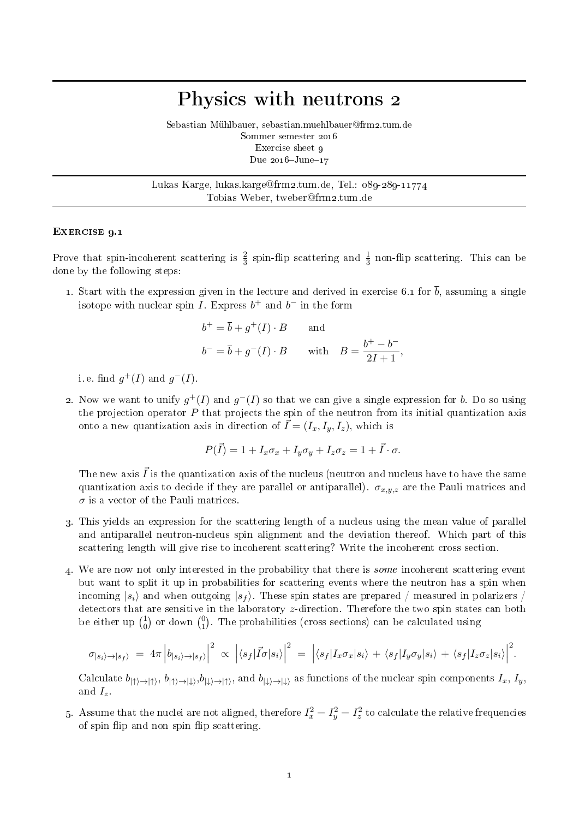## Physics with neutrons 2

Sebastian Mühlbauer, sebastian.muehlbauer@frm2.tum.de Sommer semester 2016 Exercise sheet o Due  $2016 - \text{June} - 17$ 

Lukas Karge, lukas.karge@frm2.tum.de, Tel.: 089-289-11774 Tobias Weber, tweber@frm2.tum.de

## EXERCISE 9.1

Prove that spin-incoherent scattering is  $\frac{2}{3}$  spin-flip scattering and  $\frac{1}{3}$  non-flip scattering. This can be done by the following steps:

1. Start with the expression given in the lecture and derived in exercise 6.1 for  $\bar{b}$ , assuming a single isotope with nuclear spin I. Express  $b^+$  and  $b^-$  in the form

$$
b^{+} = \overline{b} + g^{+}(I) \cdot B \quad \text{and}
$$
  

$$
b^{-} = \overline{b} + g^{-}(I) \cdot B \quad \text{with} \quad B = \frac{b^{+} - b^{-}}{2I + 1},
$$

i.e. find  $g^+(I)$  and  $g^-(I)$ .

2. Now we want to unify  $g^+(I)$  and  $g^-(I)$  so that we can give a single expression for b. Do so using the projection operator  $P$  that projects the spin of the neutron from its initial quantization axis onto a new quantization axis in direction of  $\vec{I} = (I_x, I_y, I_z)$ , which is

$$
P(\vec{I}) = 1 + I_x \sigma_x + I_y \sigma_y + I_z \sigma_z = 1 + \vec{I} \cdot \sigma.
$$

The new axis  $\vec{I}$  is the quantization axis of the nucleus (neutron and nucleus have to have the same quantization axis to decide if they are parallel or antiparallel).  $\sigma_{x,y,z}$  are the Pauli matrices and  $\sigma$  is a vector of the Pauli matrices.

- 3. This yields an expression for the scattering length of a nucleus using the mean value of parallel and antiparallel neutron-nucleus spin alignment and the deviation thereof. Which part of this scattering length will give rise to incoherent scattering? Write the incoherent cross section.
- 4. We are now not only interested in the probability that there is some incoherent scattering event but want to split it up in probabilities for scattering events where the neutron has a spin when incoming  $|s_i\rangle$  and when outgoing  $|s_f\rangle$ . These spin states are prepared / measured in polarizers / detectors that are sensitive in the laboratory z-direction. Therefore the two spin states can both be either up  $\binom{1}{0}$  $\binom{1}{0}$  or down  $\binom{0}{1}$  $_{1}^{0}$ ). The probabilities (cross sections) can be calculated using

$$
\sigma_{|s_i\rangle \to |s_f\rangle} = 4\pi \left| b_{|s_i\rangle \to |s_f\rangle} \right|^2 \propto \left| \langle s_f | \vec{I} \sigma | s_i \rangle \right|^2 = \left| \langle s_f | I_x \sigma_x | s_i \rangle + \langle s_f | I_y \sigma_y | s_i \rangle + \langle s_f | I_z \sigma_z | s_i \rangle \right|^2.
$$

Calculate  $b_{|\uparrow\rangle\rightarrow|\uparrow\rangle}, b_{|\downarrow\rangle\rightarrow|\downarrow\rangle}, b_{|\downarrow\rangle\rightarrow|\uparrow\rangle}$ , and  $b_{|\downarrow\rangle\rightarrow|\downarrow\rangle}$  as functions of the nuclear spin components  $I_x, I_y$ , and  $I_z$ .

5. Assume that the nuclei are not aligned, therefore  $I_x^2 = I_y^2 = I_z^2$  to calculate the relative frequencies of spin flip and non spin flip scattering.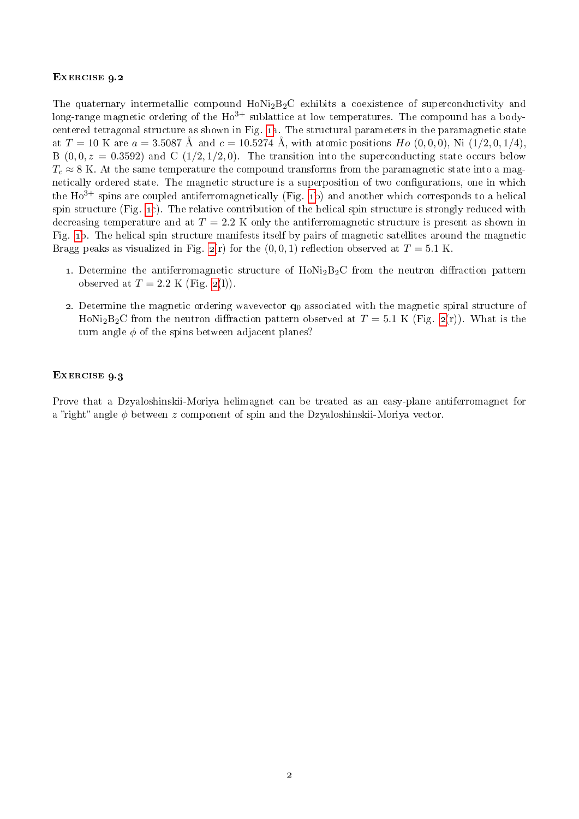## EXERCISE 9.2

The quaternary intermetallic compound  $HoNi<sub>2</sub>B<sub>2</sub>C$  exhibits a coexistence of superconductivity and long-range magnetic ordering of the  $H_0^{3+}$  sublattice at low temperatures. The compound has a bodycentered tetragonal structure as shown in Fig. [1a](#page-2-0). The structural parameters in the paramagnetic state at  $T = 10$  K are  $a = 3.5087$  Å and  $c = 10.5274$  Å, with atomic positions  $Ho(0, 0, 0)$ , Ni  $(1/2, 0, 1/4)$ , B  $(0, 0, z = 0.3592)$  and C  $(1/2, 1/2, 0)$ . The transition into the superconducting state occurs below  $T_c \approx 8$  K. At the same temperature the compound transforms from the paramagnetic state into a magnetically ordered state. The magnetic structure is a superposition of two configurations, one in which the  $Ho^{3+}$  spins are coupled antiferromagnetically (Fig. [1b](#page-2-0)) and another which corresponds to a helical spin structure (Fig. [1c](#page-2-0)). The relative contribution of the helical spin structure is strongly reduced with decreasing temperature and at  $T = 2.2$  K only the antiferromagnetic structure is present as shown in Fig. [1b](#page-2-0). The helical spin structure manifests itself by pairs of magnetic satellites around the magnetic Bragg peaks as visualized in Fig.  $_2(r)$  $_2(r)$  $_2(r)$  for the  $(0, 0, 1)$  reflection observed at  $T = 5.1$  K.

- 1. Determine the antiferromagnetic structure of  $HoNi<sub>2</sub>B<sub>2</sub>C$  from the neutron diffraction pattern observed at  $T = 2.2$  K (Fig. [2\(](#page-2-0)l)).
- 2. Determine the magnetic ordering wavevector  $q_0$  associated with the magnetic spiral structure of HoNi<sub>2</sub>B<sub>2</sub>C from the neutron diffraction pattern observed at  $T = 5.1$  K (Fig. [2\(](#page-2-0)r)). What is the turn angle  $\phi$  of the spins between adjacent planes?

## EXERCISE 9.3

Prove that a Dzyaloshinskii-Moriya helimagnet can be treated as an easy-plane antiferromagnet for a "right" angle  $\phi$  between z component of spin and the Dzyaloshinskii-Moriya vector.